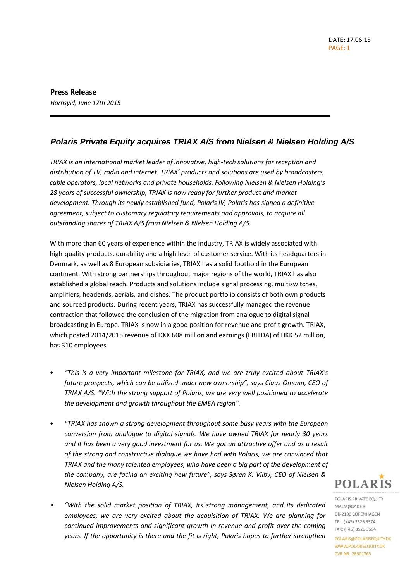**Press Release** *Hornsyld, June 17th 2015*

# *Polaris Private Equity acquires TRIAX A/S from Nielsen & Nielsen Holding A/S*

*TRIAX is an international market leader of innovative, high-tech solutions for reception and distribution of TV, radio and internet. TRIAX' products and solutions are used by broadcasters, cable operators, local networks and private households. Following Nielsen & Nielsen Holding's 28 years of successful ownership, TRIAX is now ready for further product and market development. Through its newly established fund, Polaris IV, Polaris has signed a definitive agreement, subject to customary regulatory requirements and approvals, to acquire all outstanding shares of TRIAX A/S from Nielsen & Nielsen Holding A/S.*

With more than 60 years of experience within the industry, TRIAX is widely associated with high-quality products, durability and a high level of customer service. With its headquarters in Denmark, as well as 8 European subsidiaries, TRIAX has a solid foothold in the European continent. With strong partnerships throughout major regions of the world, TRIAX has also established a global reach. Products and solutions include signal processing, multiswitches, amplifiers, headends, aerials, and dishes. The product portfolio consists of both own products and sourced products. During recent years, TRIAX has successfully managed the revenue contraction that followed the conclusion of the migration from analogue to digital signal broadcasting in Europe. TRIAX is now in a good position for revenue and profit growth. TRIAX, which posted 2014/2015 revenue of DKK 608 million and earnings (EBITDA) of DKK 52 million, has 310 employees.

- *"This is a very important milestone for TRIAX, and we are truly excited about TRIAX's future prospects, which can be utilized under new ownership", says Claus Omann, CEO of TRIAX A/S. "With the strong support of Polaris, we are very well positioned to accelerate the development and growth throughout the EMEA region".*
- *"TRIAX has shown a strong development throughout some busy years with the European conversion from analogue to digital signals. We have owned TRIAX for nearly 30 years and it has been a very good investment for us. We got an attractive offer and as a result of the strong and constructive dialogue we have had with Polaris, we are convinced that TRIAX and the many talented employees, who have been a big part of the development of the company, are facing an exciting new future", says Søren K. Vilby, CEO of Nielsen & Nielsen Holding A/S.*
- *"With the solid market position of TRIAX, its strong management, and its dedicated employees, we are very excited about the acquisition of TRIAX. We are planning for continued improvements and significant growth in revenue and profit over the coming years. If the opportunity is there and the fit is right, Polaris hopes to further strengthen*

**POLARIS** 

POLARIS PRIVATE EQUITY MALMØGADE 3 DK-2100 COPENHAGEN TEL: (+45) 3526 3574 FAX: (+45) 3526 3594

POLARIS@POLARISEQUITY.DK WWW.POLARISEQUITY.DK **CVR NR. 28501765**